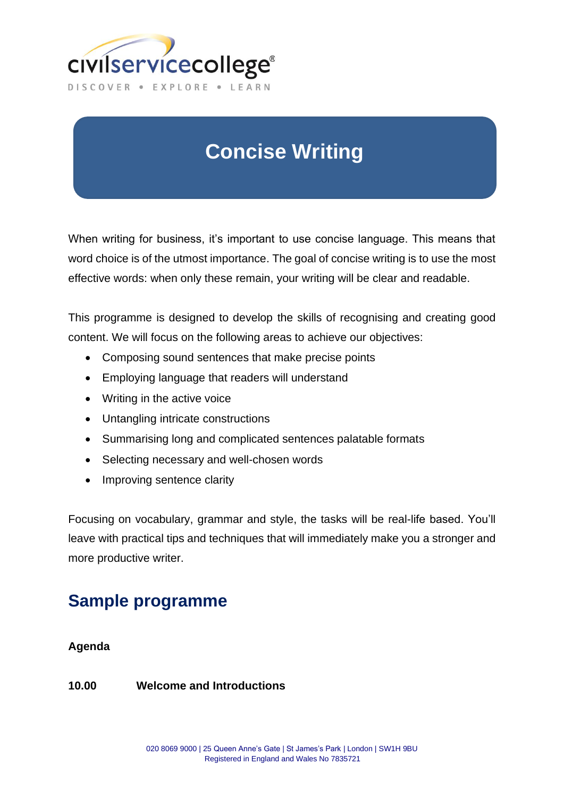

# **Concise Writing**

When writing for business, it's important to use concise language. This means that word choice is of the utmost importance. The goal of concise writing is to use the most effective words: when only these remain, your writing will be clear and readable.

This programme is designed to develop the skills of recognising and creating good content. We will focus on the following areas to achieve our objectives:

- Composing sound sentences that make precise points
- Employing language that readers will understand
- Writing in the active voice
- Untangling intricate constructions
- Summarising long and complicated sentences palatable formats
- Selecting necessary and well-chosen words
- Improving sentence clarity

Focusing on vocabulary, grammar and style, the tasks will be real-life based. You'll leave with practical tips and techniques that will immediately make you a stronger and more productive writer.

# **Sample programme**

## **Agenda**

## **10.00 Welcome and Introductions**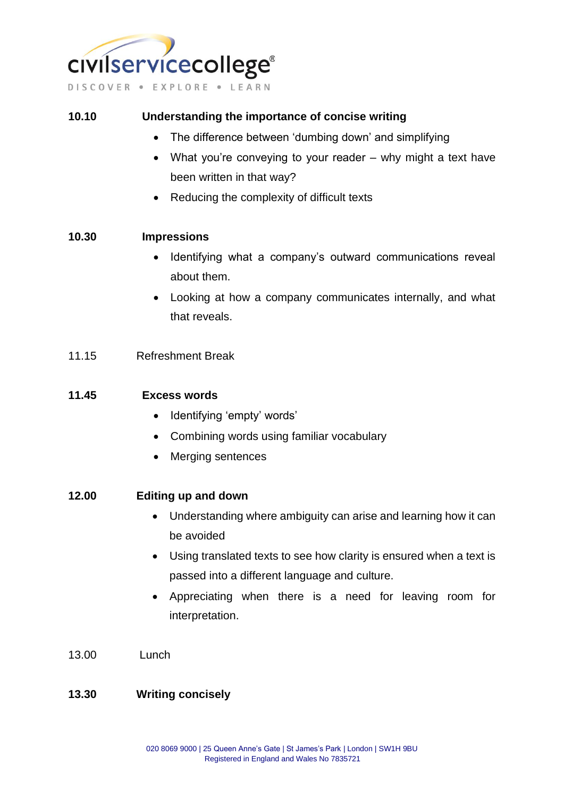

#### **10.10 Understanding the importance of concise writing**

- The difference between 'dumbing down' and simplifying
- What you're conveying to your reader why might a text have been written in that way?
- Reducing the complexity of difficult texts

#### **10.30 Impressions**

- Identifying what a company's outward communications reveal about them.
- Looking at how a company communicates internally, and what that reveals.

#### 11.15 Refreshment Break

#### **11.45 Excess words**

- Identifying 'empty' words'
- Combining words using familiar vocabulary
- Merging sentences

#### **12.00 Editing up and down**

- Understanding where ambiguity can arise and learning how it can be avoided
- Using translated texts to see how clarity is ensured when a text is passed into a different language and culture.
- Appreciating when there is a need for leaving room for interpretation.
- 13.00 Lunch

#### **13.30 Writing concisely**